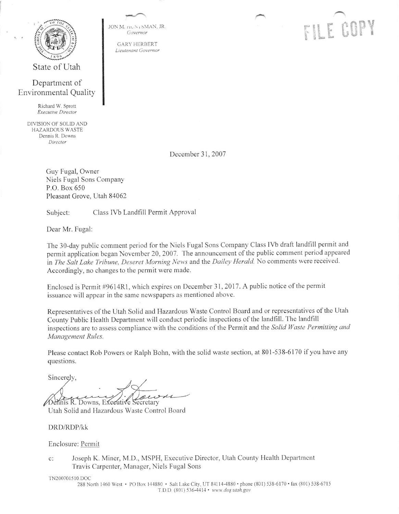State of Utah

# Department of Environmental Quality

Richard W. Sprott Executive Director

DIVISION OF SOLID AND HAZARDOUS WASTE Dennis R. Downs Director

JON M. nvN1 SMAN, JR. Governor

> GARY HERBERT Lieutenant Corernar

> > December 31, 2007

 $FU$ 

Guy Fugal, Owner Niels Fugal Sons Cornpany' P.O. Box 650 Pleasant Grove, Utah 84062

Subject: Class IVb Landfill Permit Approval

Dear Mr. Fugal:

The 30-day public comment period for the Niels Fugal Sons Company Class IVb draft landfill permit and permit application began November 20, 2007. The announcement of the public comment period appeared in The Salt Lake Tribune, Deseret Morning News and the Dailey Herald. No comments were received. Accordingly, no changes to the permit were made.

Enclosed is Permit #9614R1, which expires on December 31, 2017. A public notice of the permit issuance will appear in the same newspapers as mentioned above.

Representatives of the Utah Solid and Hazardous Waste Control Board and or representatives of the Utah County Public Health Department will conduct periodic inspections of the landfill. The landfill inspections are to assess compliance with the conditions of the Permit and the Solid Waste Permitting and Management Rules.

Please contact Rob Powers or Ralph Bohn, with the solid waste section, at 801-538-6170 if you have any questions.

Sincerely, is R. Downs, Executive Secretary

Utah Solid and Hazardous Waste Control Board

DRD/RDP/KK

Enclosure: Pcrmit

c: Joseph K. Miner, M.D., MSPH, Executive Director, Utah County Health Department Travis Carpenter, Manager, Niels Fugal Sons

#### TN20070l5l0.Doc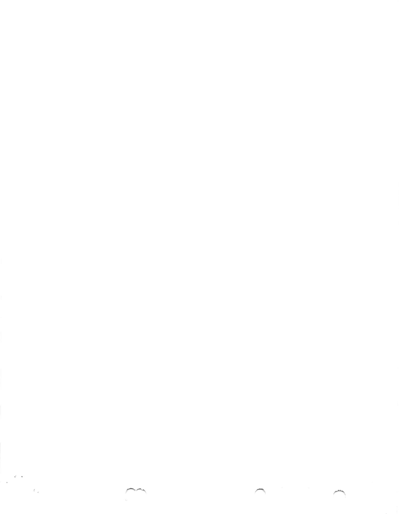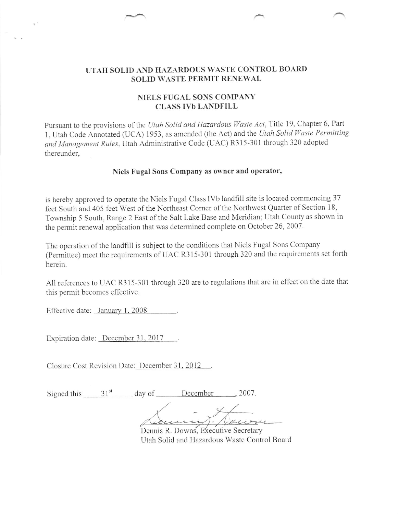### UTAH SOLID AND HAZARDOUS WASTE CONTROL BOARD SOLID WASTE PERMIT RENEWAL

#### NIELS FUGAL SONS COMPANY CLASS IVb LANDFILL

Pursuant to the provisions of the Utah Solid and Hazardous Waste Act, Title 19, Chapter 6, Part 1, Utah Code Annotated (UCA) 1953, as amended (the Act) and the Utah Solid Waste Permitting and Management Rules, Utah Administrative Code (UAC) R315-301 through 320 adopted thereunder,

#### Niels Fugal Sons Company as owner and operator,

is hereby approved to operate the Niels Fugal Class IVb landfill site is located commencing 37 feet South and 405 feet West of the Northeast Corner of the Northwest Quarter of Section 18, Township 5 South, Range 2 East of the Salt Lake Base and Meridian; Utah County as shown in the permit renewal application that was determined complete on October 26, 2007.

The operation of the landfill is subject to the conditions that Niels Fugal Sons Company (Permittee) meet the requirements of UAC R3 l5-301 through 320 and the requirements set forth herein.

All references to UAC R315-301 through 320 are to regulations that are in effect on the date that this permit becomes effective.

Effective date: January 1, 2008

Expiration date: December 31, 2017 ...

Closure Cost Revision Date: December 31, 2012.

Signed this  $31<sup>st</sup>$  day of December , 2007.

Vaceny

Dennis R. Downs, Executive Secretary Utah Sotid and Flazardous Waste Control Board